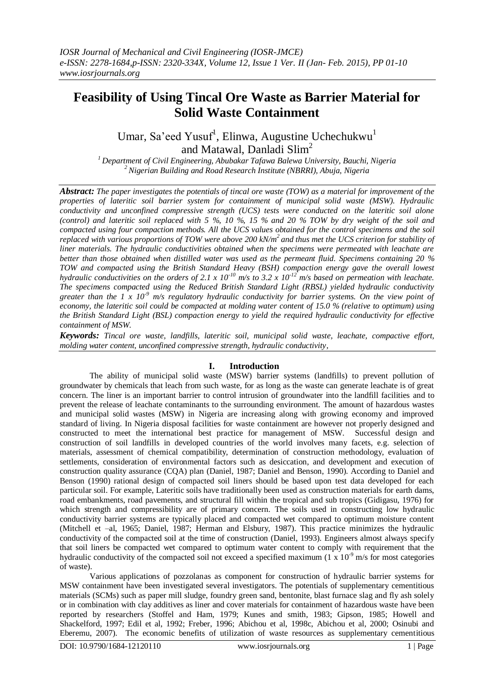# **Feasibility of Using Tincal Ore Waste as Barrier Material for Solid Waste Containment**

Umar, Sa'eed Yusuf<sup>1</sup>, Elinwa, Augustine Uchechukwu<sup>1</sup> and Matawal, Danladi Slim<sup>2</sup>

*<sup>1</sup>Department of Civil Engineering, Abubakar Tafawa Balewa University, Bauchi, Nigeria <sup>2</sup>Nigerian Building and Road Research Institute (NBRRI), Abuja, Nigeria*

*Abstract: The paper investigates the potentials of tincal ore waste (TOW) as a material for improvement of the properties of lateritic soil barrier system for containment of municipal solid waste (MSW). Hydraulic conductivity and unconfined compressive strength (UCS) tests were conducted on the lateritic soil alone (control) and lateritic soil replaced with 5 %, 10 %, 15 % and 20 % TOW by dry weight of the soil and compacted using four compaction methods. All the UCS values obtained for the control specimens and the soil replaced with various proportions of TOW were above 200 kN/m<sup>2</sup>and thus met the UCS criterion for stability of liner materials. The hydraulic conductivities obtained when the specimens were permeated with leachate are better than those obtained when distilled water was used as the permeant fluid. Specimens containing 20 % TOW and compacted using the British Standard Heavy (BSH) compaction energy gave the overall lowest hydraulic conductivities on the orders of 2.1 x 10-10 m/s to 3.2 x 10-12 m/s based on permeation with leachate. The specimens compacted using the Reduced British Standard Light (RBSL) yielded hydraulic conductivity greater than the 1 x 10-9 m/s regulatory hydraulic conductivity for barrier systems. On the view point of economy, the lateritic soil could be compacted at molding water content of 15.0 % (relative to optimum) using the British Standard Light (BSL) compaction energy to yield the required hydraulic conductivity for effective containment of MSW.*

*Keywords: Tincal ore waste, landfills, lateritic soil, municipal solid waste, leachate, compactive effort, molding water content, unconfined compressive strength, hydraulic conductivity,* 

#### **I. Introduction**

The ability of municipal solid waste (MSW) barrier systems (landfills) to prevent pollution of groundwater by chemicals that leach from such waste, for as long as the waste can generate leachate is of great concern. The liner is an important barrier to control intrusion of groundwater into the landfill facilities and to prevent the release of leachate contaminants to the surrounding environment. The amount of hazardous wastes and municipal solid wastes (MSW) in Nigeria are increasing along with growing economy and improved standard of living. In Nigeria disposal facilities for waste containment are however not properly designed and constructed to meet the international best practice for management of MSW. Successful design and construction of soil landfills in developed countries of the world involves many facets, e.g. selection of materials, assessment of chemical compatibility, determination of construction methodology, evaluation of settlements, consideration of environmental factors such as desiccation, and development and execution of construction quality assurance (CQA) plan (Daniel, 1987; Daniel and Benson, 1990). According to Daniel and Benson (1990) rational design of compacted soil liners should be based upon test data developed for each particular soil. For example, Lateritic soils have traditionally been used as construction materials for earth dams, road embankments, road pavements, and structural fill within the tropical and sub tropics (Gidigasu, 1976) for which strength and compressibility are of primary concern. The soils used in constructing low hydraulic conductivity barrier systems are typically placed and compacted wet compared to optimum moisture content (Mitchell et –al, 1965; Daniel, 1987; Herman and Elsbury, 1987). This practice minimizes the hydraulic conductivity of the compacted soil at the time of construction (Daniel, 1993). Engineers almost always specify that soil liners be compacted wet compared to optimum water content to comply with requirement that the hydraulic conductivity of the compacted soil not exceed a specified maximum  $(1 \times 10^{-9} \text{ m/s})$  for most categories of waste).

Various applications of pozzolanas as component for construction of hydraulic barrier systems for MSW containment have been investigated several investigators. The potentials of supplementary cementitious materials (SCMs) such as paper mill sludge, foundry green sand, bentonite, blast furnace slag and fly ash solely or in combination with clay additives as liner and cover materials for containment of hazardous waste have been reported by researchers (Stoffel and Ham, 1979; Kunes and smith, 1983; Gipson, 1985; Howell and Shackelford, 1997; Edil et al, 1992; Freber, 1996; Abichou et al, 1998c, Abichou et al, 2000; Osinubi and Eberemu, 2007). The economic benefits of utilization of waste resources as supplementary cementitious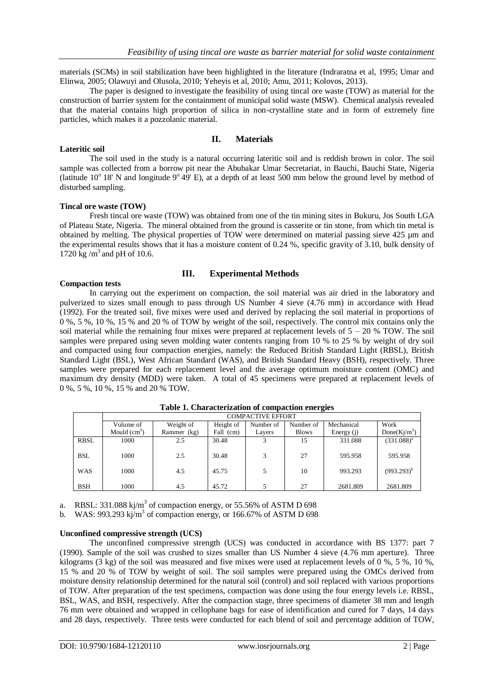materials (SCMs) in soil stabilization have been highlighted in the literature (Indraratna et al, 1995; Umar and Elinwa, 2005; Olawuyi and Olusola, 2010; Yeheyis et al, 2010; Amu, 2011; Kolovos, 2013).

The paper is designed to investigate the feasibility of using tincal ore waste (TOW) as material for the construction of barrier system for the containment of municipal solid waste (MSW). Chemical analysis revealed that the material contains high proportion of silica in non-crystalline state and in form of extremely fine particles, which makes it a pozzolanic material.

## **II. Materials**

The soil used in the study is a natural occurring lateritic soil and is reddish brown in color. The soil sample was collected from a borrow pit near the Abubakar Umar Secretariat, in Bauchi, Bauchi State, Nigeria (latitude  $10^{\circ}$  18' N and longitude  $9^{\circ}$  49' E), at a depth of at least 500 mm below the ground level by method of disturbed sampling.

#### **Tincal ore waste (TOW)**

**Lateritic soil**

Fresh tincal ore waste (TOW) was obtained from one of the tin mining sites in Bukuru, Jos South LGA of Plateau State, Nigeria. The mineral obtained from the ground is casserite or tin stone, from which tin metal is obtained by melting. The physical properties of TOW were determined on material passing sieve 425 µm and the experimental results shows that it has a moisture content of 0.24 %, specific gravity of 3.10, bulk density of 1720 kg / $m^3$  and pH of 10.6.

## **III. Experimental Methods**

## **Compaction tests**

In carrying out the experiment on compaction, the soil material was air dried in the laboratory and pulverized to sizes small enough to pass through US Number 4 sieve (4.76 mm) in accordance with Head (1992). For the treated soil, five mixes were used and derived by replacing the soil material in proportions of 0 %, 5 %, 10 %, 15 % and 20 % of TOW by weight of the soil, respectively. The control mix contains only the soil material while the remaining four mixes were prepared at replacement levels of  $5 - 20$  % TOW. The soil samples were prepared using seven molding water contents ranging from 10 % to 25 % by weight of dry soil and compacted using four compaction energies, namely: the Reduced British Standard Light (RBSL), British Standard Light (BSL), West African Standard (WAS), and British Standard Heavy (BSH), respectively. Three samples were prepared for each replacement level and the average optimum moisture content (OMC) and maximum dry density (MDD) were taken. A total of 45 specimens were prepared at replacement levels of 0 %, 5 %, 10 %, 15 % and 20 % TOW.

|            | <b>COMPACTIVE EFFORT</b> |             |           |           |              |              |                  |
|------------|--------------------------|-------------|-----------|-----------|--------------|--------------|------------------|
|            | Volume of                | Weight of   | Height of | Number of | Number of    | Mechanical   | Work             |
|            | Mould $(cm3)$            | Rammer (kg) | Fall (cm) | Layers    | <b>Blows</b> | Energy $(i)$ | Done( $Ki/m^3$ ) |
| RBSL       | 1000                     | 2.5         | 30.48     |           | 15           | 331.088      | $(331.088)^{a}$  |
| <b>BSL</b> | 1000                     | 2.5         | 30.48     | 2         | 27           | 595.958      | 595.958          |
| <b>WAS</b> | 1000                     | 4.5         | 45.75     |           | 10           | 993.293      | $(993.293)^{b}$  |
| <b>BSH</b> | 1000                     | 4.5         | 45.72     |           | 27           | 2681.809     | 2681.809         |

#### **Table 1. Characterization of compaction energies**

a. RBSL: 331.088 kj/m<sup>3</sup> of compaction energy, or 55.56% of ASTM D 698

b. WAS: 993.293 kj/m<sup>3</sup> of compaction energy, or 166.67% of ASTM D 698

#### **Unconfined compressive strength (UCS)**

The unconfined compressive strength (UCS) was conducted in accordance with BS 1377: part 7 (1990). Sample of the soil was crushed to sizes smaller than US Number 4 sieve (4.76 mm aperture). Three kilograms (3 kg) of the soil was measured and five mixes were used at replacement levels of 0 %, 5 %, 10 %, 15 % and 20 % of TOW by weight of soil. The soil samples were prepared using the OMCs derived from moisture density relationship determined for the natural soil (control) and soil replaced with various proportions of TOW. After preparation of the test specimens, compaction was done using the four energy levels i.e. RBSL, BSL, WAS, and BSH, respectively. After the compaction stage, three specimens of diameter 38 mm and length 76 mm were obtained and wrapped in cellophane bags for ease of identification and cured for 7 days, 14 days and 28 days, respectively. Three tests were conducted for each blend of soil and percentage addition of TOW,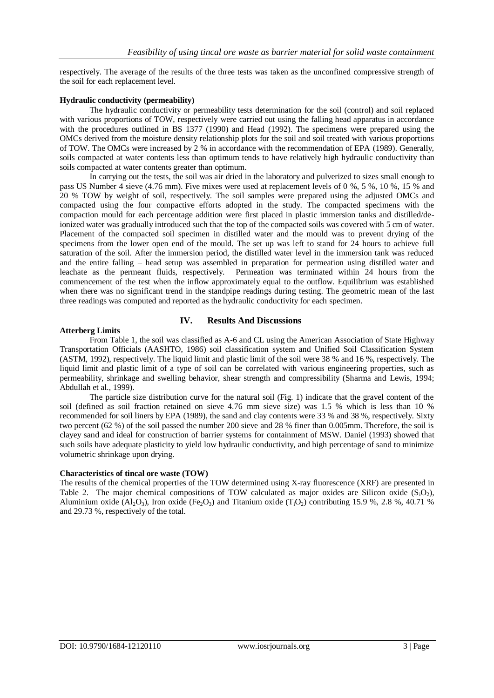respectively. The average of the results of the three tests was taken as the unconfined compressive strength of the soil for each replacement level.

#### **Hydraulic conductivity (permeability)**

The hydraulic conductivity or permeability tests determination for the soil (control) and soil replaced with various proportions of TOW, respectively were carried out using the falling head apparatus in accordance with the procedures outlined in BS 1377 (1990) and Head (1992). The specimens were prepared using the OMCs derived from the moisture density relationship plots for the soil and soil treated with various proportions of TOW. The OMCs were increased by 2 % in accordance with the recommendation of EPA (1989). Generally, soils compacted at water contents less than optimum tends to have relatively high hydraulic conductivity than soils compacted at water contents greater than optimum.

In carrying out the tests, the soil was air dried in the laboratory and pulverized to sizes small enough to pass US Number 4 sieve (4.76 mm). Five mixes were used at replacement levels of 0 %, 5 %, 10 %, 15 % and 20 % TOW by weight of soil, respectively. The soil samples were prepared using the adjusted OMCs and compacted using the four compactive efforts adopted in the study. The compacted specimens with the compaction mould for each percentage addition were first placed in plastic immersion tanks and distilled/deionized water was gradually introduced such that the top of the compacted soils was covered with 5 cm of water. Placement of the compacted soil specimen in distilled water and the mould was to prevent drying of the specimens from the lower open end of the mould. The set up was left to stand for 24 hours to achieve full saturation of the soil. After the immersion period, the distilled water level in the immersion tank was reduced and the entire falling – head setup was assembled in preparation for permeation using distilled water and leachate as the permeant fluids, respectively. Permeation was terminated within 24 hours from the commencement of the test when the inflow approximately equal to the outflow. Equilibrium was established when there was no significant trend in the standpipe readings during testing. The geometric mean of the last three readings was computed and reported as the hydraulic conductivity for each specimen.

## **IV. Results And Discussions**

#### **Atterberg Limits**

From Table 1, the soil was classified as A-6 and CL using the American Association of State Highway Transportation Officials (AASHTO, 1986) soil classification system and Unified Soil Classification System (ASTM, 1992), respectively. The liquid limit and plastic limit of the soil were 38 % and 16 %, respectively. The liquid limit and plastic limit of a type of soil can be correlated with various engineering properties, such as permeability, shrinkage and swelling behavior, shear strength and compressibility (Sharma and Lewis, 1994; Abdullah et al., 1999).

The particle size distribution curve for the natural soil (Fig. 1) indicate that the gravel content of the soil (defined as soil fraction retained on sieve 4.76 mm sieve size) was 1.5 % which is less than 10 % recommended for soil liners by EPA (1989), the sand and clay contents were 33 % and 38 %, respectively. Sixty two percent (62 %) of the soil passed the number 200 sieve and 28 % finer than 0.005mm. Therefore, the soil is clayey sand and ideal for construction of barrier systems for containment of MSW. Daniel (1993) showed that such soils have adequate plasticity to yield low hydraulic conductivity, and high percentage of sand to minimize volumetric shrinkage upon drying.

#### **Characteristics of tincal ore waste (TOW)**

The results of the chemical properties of the TOW determined using X-ray fluorescence (XRF) are presented in Table 2. The major chemical compositions of TOW calculated as major oxides are Silicon oxide  $(S_1O_2)$ , Aluminium oxide  $(A_2O_3)$ , Iron oxide  $(Fe_2O_3)$  and Titanium oxide  $(T_1O_2)$  contributing 15.9 %, 2.8 %, 40.71 % and 29.73 %, respectively of the total.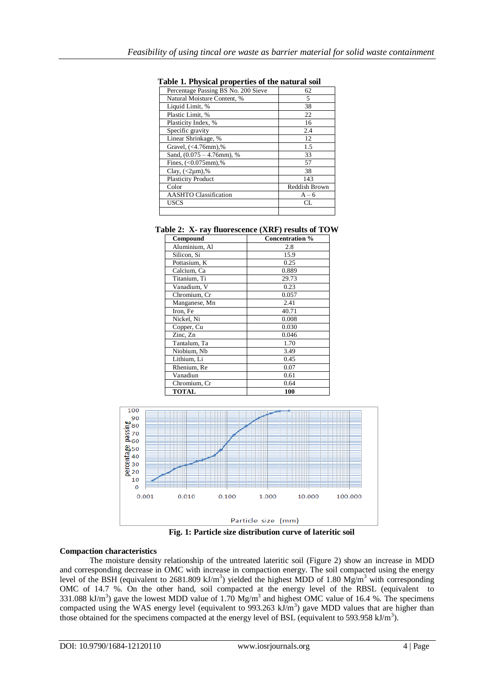| radic 1. I hysical properties of the hatural soli |               |
|---------------------------------------------------|---------------|
| Percentage Passing BS No. 200 Sieve               | 62            |
| Natural Moisture Content, %                       | 5             |
| Liquid Limit, %                                   | 38            |
| Plastic Limit, %                                  | 22            |
| Plasticity Index, %                               | 16            |
| Specific gravity                                  | 2.4           |
| Linear Shrinkage, %                               | 12            |
| Gravel, (<4.76mm),%                               | 1.5           |
| Sand, $(0.075 - 4.76$ mm), %                      | 33            |
| Fines, $(<0.075$ mm),%                            | 57            |
| Clay, $(<2 \mu m)$ ,%                             | 38            |
| <b>Plasticity Product</b>                         | 143           |
| Color                                             | Reddish Brown |
| <b>AASHTO</b> Classification                      | $A - 6$       |
| USCS                                              | CL            |
|                                                   |               |

#### **Table 1. Physical properties of the natural soil**

|  |  |  | Table 2: X- ray fluorescence (XRF) results of TOW |  |  |  |
|--|--|--|---------------------------------------------------|--|--|--|
|--|--|--|---------------------------------------------------|--|--|--|

| Compound      | Concentration % |  |  |
|---------------|-----------------|--|--|
| Aluminium, Al | 2.8             |  |  |
| Silicon, Si   | 15.9            |  |  |
| Pottasium, K  | 0.25            |  |  |
| Calcium, Ca   | 0.889           |  |  |
| Titanium, Ti  | 29.73           |  |  |
| Vanadium, V   | 0.23            |  |  |
| Chromium, Cr  | 0.057           |  |  |
| Manganese, Mn | 2.41            |  |  |
| Iron, Fe      | 40.71           |  |  |
| Nickel, Ni    | 0.008           |  |  |
| Copper, Cu    | 0.030           |  |  |
| Zinc, Zn      | 0.046           |  |  |
| Tantalum, Ta  | 1.70            |  |  |
| Niobium, Nb   | 3.49            |  |  |
| Lithium, Li   | 0.45            |  |  |
| Rhenium, Re   | 0.07            |  |  |
| Vanadiun      | 0.61            |  |  |
| Chromium, Cr  | 0.64            |  |  |
| <b>TOTAL</b>  | 100             |  |  |



**Fig. 1: Particle size distribution curve of lateritic soil**

## **Compaction characteristics**

The moisture density relationship of the untreated lateritic soil (Figure 2) show an increase in MDD and corresponding decrease in OMC with increase in compaction energy. The soil compacted using the energy level of the BSH (equivalent to 2681.809 kJ/m<sup>3</sup>) yielded the highest MDD of 1.80 Mg/m<sup>3</sup> with corresponding OMC of 14.7 %. On the other hand, soil compacted at the energy level of the RBSL (equivalent to 331.088 kJ/m<sup>3</sup>) gave the lowest MDD value of 1.70 Mg/m<sup>3</sup> and highest OMC value of 16.4 %. The specimens compacted using the WAS energy level (equivalent to 993.263  $kJ/m<sup>3</sup>$ ) gave MDD values that are higher than those obtained for the specimens compacted at the energy level of BSL (equivalent to 593.958 kJ/m<sup>3</sup>).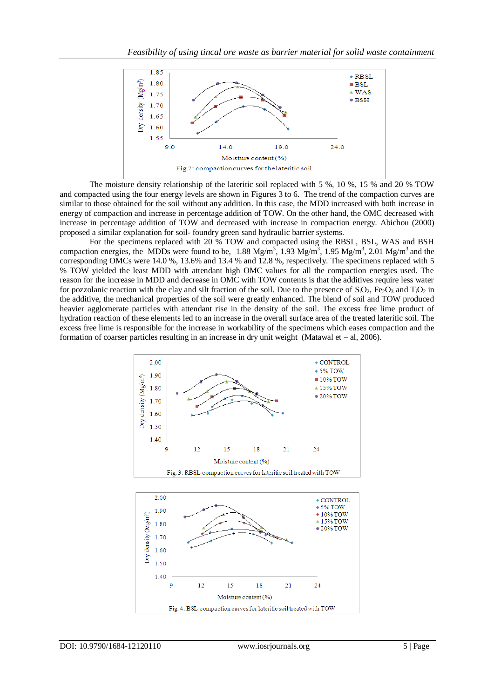

The moisture density relationship of the lateritic soil replaced with 5 %, 10 %, 15 % and 20 % TOW and compacted using the four energy levels are shown in Figures 3 to 6. The trend of the compaction curves are similar to those obtained for the soil without any addition. In this case, the MDD increased with both increase in energy of compaction and increase in percentage addition of TOW. On the other hand, the OMC decreased with increase in percentage addition of TOW and decreased with increase in compaction energy. Abichou (2000) proposed a similar explanation for soil- foundry green sand hydraulic barrier systems.

For the specimens replaced with 20 % TOW and compacted using the RBSL, BSL, WAS and BSH compaction energies, the MDDs were found to be, 1.88 Mg/m<sup>3</sup>, 1.93 Mg/m<sup>3</sup>, 1.95 Mg/m<sup>3</sup>, 2.01 Mg/m<sup>3</sup> and the corresponding OMCs were 14.0 %, 13.6% and 13.4 % and 12.8 %, respectively. The specimens replaced with 5 % TOW yielded the least MDD with attendant high OMC values for all the compaction energies used. The reason for the increase in MDD and decrease in OMC with TOW contents is that the additives require less water for pozzolanic reaction with the clay and silt fraction of the soil. Due to the presence of  $S_1O_2$ , Fe<sub>2</sub>O<sub>3</sub> and T<sub>i</sub>O<sub>2</sub> in the additive, the mechanical properties of the soil were greatly enhanced. The blend of soil and TOW produced heavier agglomerate particles with attendant rise in the density of the soil. The excess free lime product of hydration reaction of these elements led to an increase in the overall surface area of the treated lateritic soil. The excess free lime is responsible for the increase in workability of the specimens which eases compaction and the formation of coarser particles resulting in an increase in dry unit weight (Matawal et – al, 2006).

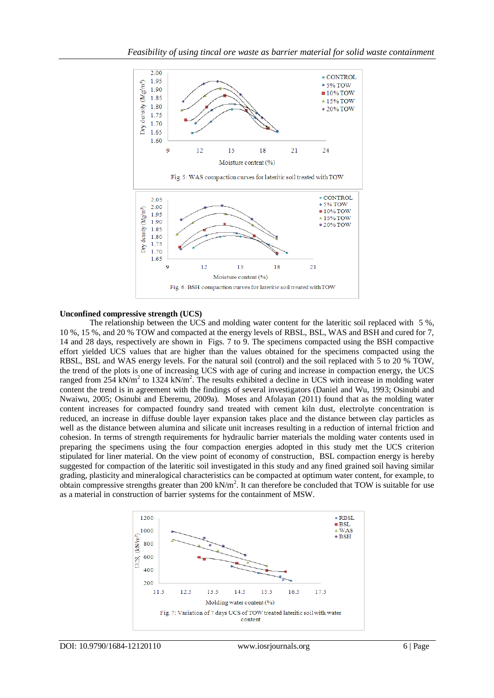![](_page_5_Figure_1.jpeg)

#### **Unconfined compressive strength (UCS)**

The relationship between the UCS and molding water content for the lateritic soil replaced with 5 %, 10 %, 15 %, and 20 % TOW and compacted at the energy levels of RBSL, BSL, WAS and BSH and cured for 7, 14 and 28 days, respectively are shown in Figs. 7 to 9. The specimens compacted using the BSH compactive effort yielded UCS values that are higher than the values obtained for the specimens compacted using the RBSL, BSL and WAS energy levels. For the natural soil (control) and the soil replaced with 5 to 20 % TOW, the trend of the plots is one of increasing UCS with age of curing and increase in compaction energy, the UCS ranged from 254 kN/m<sup>2</sup> to 1324 kN/m<sup>2</sup>. The results exhibited a decline in UCS with increase in molding water content the trend is in agreement with the findings of several investigators (Daniel and Wu, 1993; Osinubi and Nwaiwu, 2005; Osinubi and Eberemu, 2009a). Moses and Afolayan (2011) found that as the molding water content increases for compacted foundry sand treated with cement kiln dust, electrolyte concentration is reduced, an increase in diffuse double layer expansion takes place and the distance between clay particles as well as the distance between alumina and silicate unit increases resulting in a reduction of internal friction and cohesion. In terms of strength requirements for hydraulic barrier materials the molding water contents used in preparing the specimens using the four compaction energies adopted in this study met the UCS criterion stipulated for liner material. On the view point of economy of construction, BSL compaction energy is hereby suggested for compaction of the lateritic soil investigated in this study and any fined grained soil having similar grading, plasticity and mineralogical characteristics can be compacted at optimum water content, for example, to obtain compressive strengths greater than  $200 \text{ kN/m}^2$ . It can therefore be concluded that TOW is suitable for use as a material in construction of barrier systems for the containment of MSW.

![](_page_5_Figure_4.jpeg)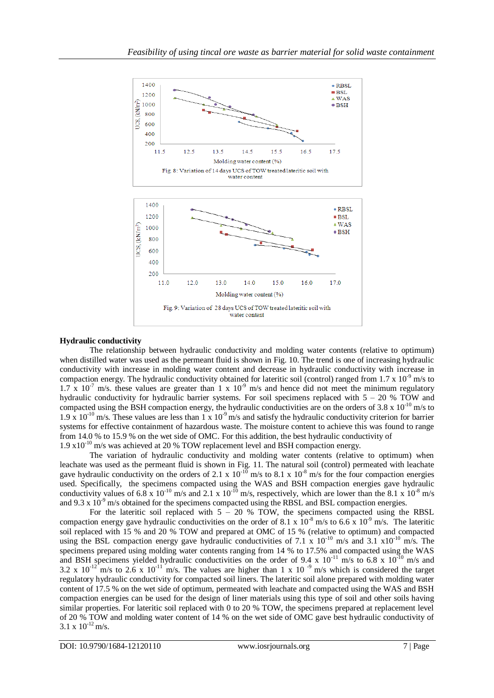![](_page_6_Figure_1.jpeg)

## **Hydraulic conductivity**

The relationship between hydraulic conductivity and molding water contents (relative to optimum) when distilled water was used as the permeant fluid is shown in Fig. 10. The trend is one of increasing hydraulic conductivity with increase in molding water content and decrease in hydraulic conductivity with increase in compaction energy. The hydraulic conductivity obtained for lateritic soil (control) ranged from  $1.7 \times 10^{-9}$  m/s to  $1.7 \times 10^{-7}$  m/s, these values are greater than 1 x  $10^{-9}$  m/s and hence did not meet the minimum regulatory hydraulic conductivity for hydraulic barrier systems. For soil specimens replaced with  $5 - 20$  % TOW and compacted using the BSH compaction energy, the hydraulic conductivities are on the orders of 3.8 x  $10^{-10}$  m/s to 1.9 x 10<sup>-10</sup> m/s. These values are less than 1 x 10<sup>-9</sup> m/s and satisfy the hydraulic conductivity criterion for barrier systems for effective containment of hazardous waste. The moisture content to achieve this was found to range from 14.0 % to 15.9 % on the wet side of OMC. For this addition, the best hydraulic conductivity of 1.9  $x10^{-10}$  m/s was achieved at 20 % TOW replacement level and BSH compaction energy.

The variation of hydraulic conductivity and molding water contents (relative to optimum) when leachate was used as the permeant fluid is shown in Fig. 11. The natural soil (control) permeated with leachate gave hydraulic conductivity on the orders of 2.1 x  $10^{-10}$  m/s to 8.1 x  $10^{-8}$  m/s for the four compaction energies used. Specifically, the specimens compacted using the WAS and BSH compaction energies gave hydraulic conductivity values of 6.8 x  $10^{-10}$  m/s and 2.1 x  $10^{-10}$  m/s, respectively, which are lower than the 8.1 x  $10^{-8}$  m/s and 9.3 x  $10^{-9}$  m/s obtained for the specimens compacted using the RBSL and BSL compaction energies.

For the lateritic soil replaced with  $5 - 20$  % TOW, the specimens compacted using the RBSL compaction energy gave hydraulic conductivities on the order of 8.1 x  $10^{-8}$  m/s to 6.6 x 10<sup>-9</sup> m/s. The lateritic soil replaced with 15 % and 20 % TOW and prepared at OMC of 15 % (relative to optimum) and compacted using the BSL compaction energy gave hydraulic conductivities of 7.1 x  $10^{-10}$  m/s and 3.1 x10<sup>-10</sup> m/s. The specimens prepared using molding water contents ranging from 14 % to 17.5% and compacted using the WAS and BSH specimens yielded hydraulic conductivities on the order of 9.4 x  $10^{-11}$  m/s to 6.8 x  $10^{-10}$  m/s and 3.2 x  $10^{-12}$  m/s to 2.6 x  $10^{-11}$  m/s. The values are higher than 1 x 10<sup>-9</sup> m/s which is considered the target regulatory hydraulic conductivity for compacted soil liners. The lateritic soil alone prepared with molding water content of 17.5 % on the wet side of optimum, permeated with leachate and compacted using the WAS and BSH compaction energies can be used for the design of liner materials using this type of soil and other soils having similar properties. For lateritic soil replaced with 0 to 20 % TOW, the specimens prepared at replacement level of 20 % TOW and molding water content of 14 % on the wet side of OMC gave best hydraulic conductivity of  $3.1 \times 10^{-12}$  m/s.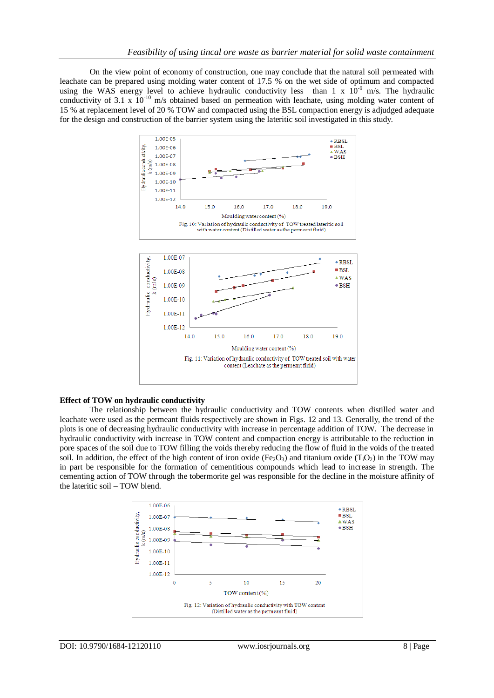On the view point of economy of construction, one may conclude that the natural soil permeated with leachate can be prepared using molding water content of 17.5 % on the wet side of optimum and compacted using the WAS energy level to achieve hydraulic conductivity less than 1 x  $10^{-9}$  m/s. The hydraulic conductivity of 3.1 x  $10^{-10}$  m/s obtained based on permeation with leachate, using molding water content of 15 % at replacement level of 20 % TOW and compacted using the BSL compaction energy is adjudged adequate for the design and construction of the barrier system using the lateritic soil investigated in this study.

![](_page_7_Figure_2.jpeg)

#### **Effect of TOW on hydraulic conductivity**

The relationship between the hydraulic conductivity and TOW contents when distilled water and leachate were used as the permeant fluids respectively are shown in Figs. 12 and 13. Generally, the trend of the plots is one of decreasing hydraulic conductivity with increase in percentage addition of TOW. The decrease in hydraulic conductivity with increase in TOW content and compaction energy is attributable to the reduction in pore spaces of the soil due to TOW filling the voids thereby reducing the flow of fluid in the voids of the treated soil. In addition, the effect of the high content of iron oxide (Fe<sub>2</sub>O<sub>3</sub>) and titanium oxide (T<sub>i</sub>O<sub>2</sub>) in the TOW may in part be responsible for the formation of cementitious compounds which lead to increase in strength. The cementing action of TOW through the tobermorite gel was responsible for the decline in the moisture affinity of the lateritic soil – TOW blend.

![](_page_7_Figure_5.jpeg)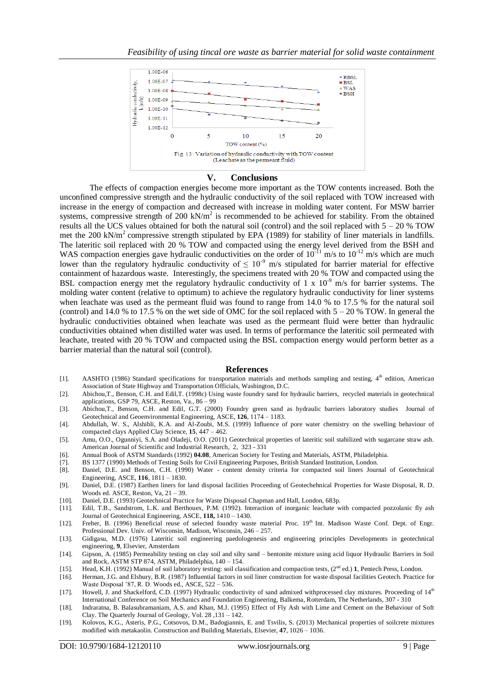![](_page_8_Figure_1.jpeg)

#### **V. Conclusions**

The effects of compaction energies become more important as the TOW contents increased. Both the unconfined compressive strength and the hydraulic conductivity of the soil replaced with TOW increased with increase in the energy of compaction and decreased with increase in molding water content. For MSW barrier systems, compressive strength of 200  $kN/m^2$  is recommended to be achieved for stability. From the obtained results all the UCS values obtained for both the natural soil (control) and the soil replaced with 5 – 20 % TOW met the 200 kN/m<sup>2</sup> compressive strength stipulated by EPA (1989) for stability of liner materials in landfills. The lateritic soil replaced with 20 % TOW and compacted using the energy level derived from the BSH and WAS compaction energies gave hydraulic conductivities on the order of  $10^{-11}$  m/s to  $10^{-12}$  m/s which are much lower than the regulatory hydraulic conductivity of  $\leq 10^{-9}$  m/s stipulated for barrier material for effective containment of hazardous waste. Interestingly, the specimens treated with 20 % TOW and compacted using the BSL compaction energy met the regulatory hydraulic conductivity of 1 x 10<sup>-9</sup> m/s for barrier systems. The molding water content (relative to optimum) to achieve the regulatory hydraulic conductivity for liner systems when leachate was used as the permeant fluid was found to range from 14.0 % to 17.5 % for the natural soil (control) and 14.0 % to 17.5 % on the wet side of OMC for the soil replaced with  $5 - 20$  % TOW. In general the hydraulic conductivities obtained when leachate was used as the permeant fluid were better than hydraulic conductivities obtained when distilled water was used. In terms of performance the lateritic soil permeated with leachate, treated with 20 % TOW and compacted using the BSL compaction energy would perform better as a barrier material than the natural soil (control).

#### **References**

- [1]. AASHTO (1986) Standard specifications for transportation materials and methods sampling and testing, 4<sup>th</sup> edition, American Association of State Highway and Transportation Officials, Washington, D.C.
- [2]. Abichou,T., Benson, C.H. and Edil,T. (1998c) Using waste foundry sand for hydraulic barriers, recycled materials in geotechnical applications, GSP 79, ASCE, Reston, Va., 86 – 99
- [3]. Abichou,T., Benson, C.H. and Edil, G.T. (2000) Foundry green sand as hydraulic barriers laboratory studies Journal of Geotechnical and Geoenvironmental Engineering, ASCE, **126**, 1174 – 1183.
- [4]. Abdullah, W. S., Alshibli, K.A. and Al-Zoubi, M.S. (1999) Influence of pore water chemistry on the swelling behaviour of compacted clays Applied Clay Science, **15**, 447 – 462.
- [5]. Amu, O.O., Ogunniyi, S.A. and Oladeji, O.O. (2011) Geotechnical properties of lateritic soil stabilized with sugarcane straw ash. American Journal of Scientific and Industrial Research, 2, 323 - 331
- [6]. Annual Book of ASTM Standards (1992) **04.08**, American Society for Testing and Materials, ASTM, Philadelphia.
- [7]. BS 1377 (1990) Methods of Testing Soils for Civil Engineering Purposes, British Standard Institution, London.
- [8]. Daniel, D.E. and Benson, C.H. (1990) Water content density criteria for compacted soil liners Journal of Geotechnical Engineering, ASCE, **116**, 1811 – 1830.
- [9]. Daniel, D.E. (1987) Earthen liners for land disposal facilities Proceeding of Geotechehnical Properties for Waste Disposal, R. D. Woods ed. ASCE, Reston, Va, 21 – 39.
- [10]. Daniel, D.E. (1993) Geotechnical Practice for Waste Disposal Chapman and Hall, London, 683p.
- [11]. Edil, T.B., Sandstrom, L.K. and Berthouex, P.M. (1992). Interaction of inorganic leachate with compacted pozzolanic fly ash Journal of Geotechnical Engineering, ASCE, **118,** 1410 – 1430.

[12]. Freber, B. (1996) Beneficial reuse of selected foundry waste material Proc. 19<sup>th</sup> Int. Madison Waste Conf. Dept. of Engr. Professional Dev. Univ. of Wisconsin, Madison, Wisconsin, 246 – 257.

- [13]. Gidigasu, M.D. (1976) Lateritic soil engineering paedologenesis and engineering principles Developments in geotechnical engineering, **9**, Elsevier, Amsterdam
- [14]. Gipson, A. (1985) Permeability testing on clay soil and silty sand bentonite mixture using acid liquor Hydraulic Barriers in Soil and Rock, ASTM STP 874, ASTM, Philadelphia, 140 – 154.
- [15]. Head, K.H. (1992) Manual of soil laboratory testing: soil classification and compaction tests, (2<sup>nd</sup> ed.) **1**, Pentech Press, London.
- [16]. Herman, J.G. and Elsbury, B.R. (1987) Influential factors in soil liner construction for waste disposal facilities Geotech. Practice for Waste Disposal '87, R. D. Woods ed., ASCE, 522 – 536.
- [17]. Howell, J. and Shackelford, C.D. (1997) Hydraulic conductivity of sand admixed withprocessed clay mixtures. Proceeding of 14<sup>th</sup> International Conference on Soil Mechanics and Foundation Engineering, Balkema, Rotterdam, The Netherlands, 307 - 310
- [18]. Indraratna, B. Balasubramaniam, A.S. and Khan, M.J. (1995) Effect of Fly Ash with Lime and Cement on the Behaviour of Soft Clay. The Quarterly Journal of Geology, Vol. 28 ,131 – 142.
- [19]. Kolovos, K.G., Asteris, P.G., Cotsovos, D.M., Badogiannis, E. and Tsvilis, S. (2013) Mechanical properties of soilcrete mixtures modified with metakaolin. Construction and Building Materials, Elsevier, **47**, 1026 – 1036.